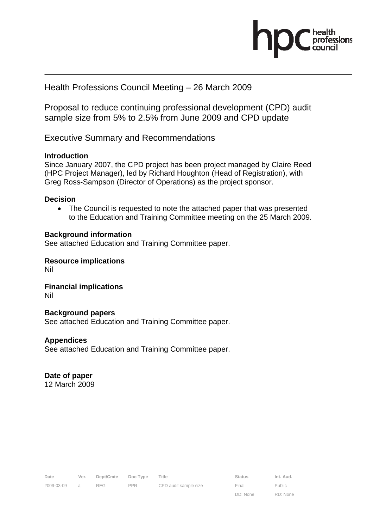

## Health Professions Council Meeting – 26 March 2009

Proposal to reduce continuing professional development (CPD) audit sample size from 5% to 2.5% from June 2009 and CPD update

Executive Summary and Recommendations

## **Introduction**

Since January 2007, the CPD project has been project managed by Claire Reed (HPC Project Manager), led by Richard Houghton (Head of Registration), with Greg Ross-Sampson (Director of Operations) as the project sponsor.

### **Decision**

• The Council is requested to note the attached paper that was presented to the Education and Training Committee meeting on the 25 March 2009.

## **Background information**

See attached Education and Training Committee paper.

**Resource implications**  Nil

**Financial implications**  Nil

### **Background papers**

See attached Education and Training Committee paper.

## **Appendices**

See attached Education and Training Committee paper.

## **Date of paper**

12 March 2009

| Date       | Ver. | Dept/Cmte Doc Type |            | Title                 | <b>Status</b> | Int. Aud. |
|------------|------|--------------------|------------|-----------------------|---------------|-----------|
| 2009-03-09 |      |                    | <b>PPR</b> | CPD audit sample size | Final         | Public    |

DD: None

Public RD: None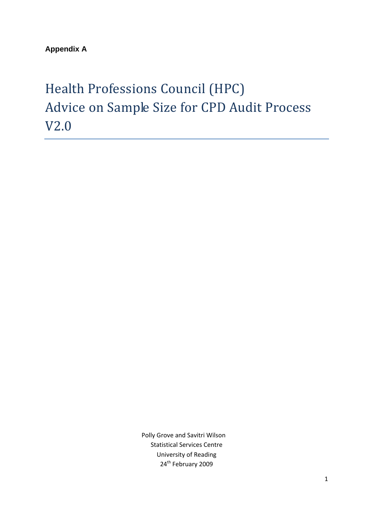**Appendix A** 

# Health Professions Council (HPC) Advice on Sample Size for CPD Audit Process V2.0

 Polly Grove and Savitri Wilson Statistical Services Centre University of Reading 24<sup>th</sup> February 2009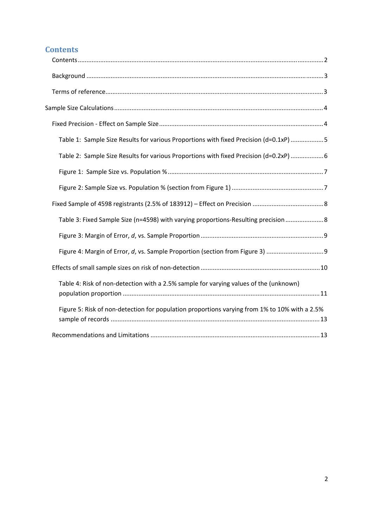# **Contents**

| Table 1: Sample Size Results for various Proportions with fixed Precision (d=0.1xP) 5         |
|-----------------------------------------------------------------------------------------------|
| Table 2: Sample Size Results for various Proportions with fixed Precision (d=0.2xP)  6        |
|                                                                                               |
|                                                                                               |
|                                                                                               |
| Table 3: Fixed Sample Size (n=4598) with varying proportions-Resulting precision  8           |
|                                                                                               |
| Figure 4: Margin of Error, d, vs. Sample Proportion (section from Figure 3)                   |
|                                                                                               |
| Table 4: Risk of non-detection with a 2.5% sample for varying values of the (unknown)         |
| Figure 5: Risk of non-detection for population proportions varying from 1% to 10% with a 2.5% |
|                                                                                               |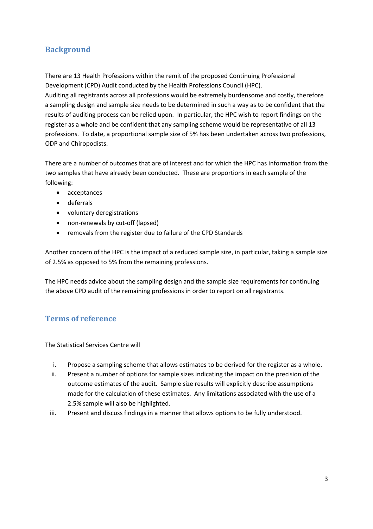# **Background**

There are 13 Health Professions within the remit of the proposed Continuing Professional Development (CPD) Audit conducted by the Health Professions Council (HPC). Auditing all registrants across all professions would be extremely burdensome and costly, therefore a sampling design and sample size needs to be determined in such a way as to be confident that the results of auditing process can be relied upon. In particular, the HPC wish to report findings on the register as a whole and be confident that any sampling scheme would be representative of all 13 professions. To date, a proportional sample size of 5% has been undertaken across two professions, ODP and Chiropodists.

There are a number of outcomes that are of interest and for which the HPC has information from the two samples that have already been conducted. These are proportions in each sample of the following:

- acceptances
- deferrals
- voluntary deregistrations
- non-renewals by cut-off (lapsed)
- removals from the register due to failure of the CPD Standards

Another concern of the HPC is the impact of a reduced sample size, in particular, taking a sample size of 2.5% as opposed to 5% from the remaining professions.

The HPC needs advice about the sampling design and the sample size requirements for continuing the above CPD audit of the remaining professions in order to report on all registrants.

## **Terms of reference**

The Statistical Services Centre will

- i. Propose a sampling scheme that allows estimates to be derived for the register as a whole.
- ii. Present a number of options for sample sizes indicating the impact on the precision of the outcome estimates of the audit. Sample size results will explicitly describe assumptions made for the calculation of these estimates. Any limitations associated with the use of a 2.5% sample will also be highlighted.
- iii. Present and discuss findings in a manner that allows options to be fully understood.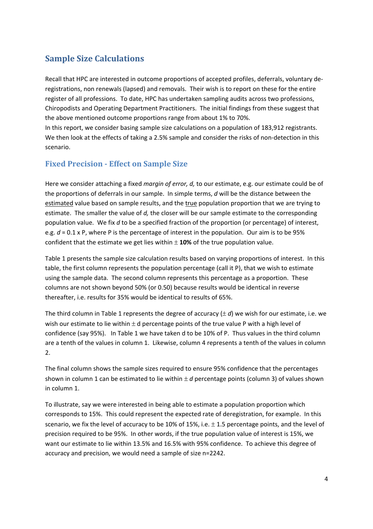# **Sample Size Calculations**

Recall that HPC are interested in outcome proportions of accepted profiles, deferrals, voluntary de‐ registrations, non renewals (lapsed) and removals. Their wish is to report on these for the entire register of all professions. To date, HPC has undertaken sampling audits across two professions, Chiropodists and Operating Department Practitioners. The initial findings from these suggest that the above mentioned outcome proportions range from about 1% to 70%.

In this report, we consider basing sample size calculations on a population of 183,912 registrants. We then look at the effects of taking a 2.5% sample and consider the risks of non-detection in this scenario.

## **Fixed Precision Effect on Sample Size**

Here we consider attaching a fixed *margin of error, d,* to our estimate, e.g. our estimate could be of the proportions of deferrals in our sample. In simple terms, *d* will be the distance between the estimated value based on sample results, and the true population proportion that we are trying to estimate. The smaller the value of *d,* the closer will be our sample estimate to the corresponding population value. We fix *d* to be a specified fraction of the proportion (or percentage) of interest, e.g.  $d = 0.1$  x P, where P is the percentage of interest in the population. Our aim is to be 95% confident that the estimate we get lies within ± **10%** of the true population value.

Table 1 presents the sample size calculation results based on varying proportions of interest. In this table, the first column represents the population percentage (call it P), that we wish to estimate using the sample data. The second column represents this percentage as a proportion. These columns are not shown beyond 50% (or 0.50) because results would be identical in reverse thereafter, i.e. results for 35% would be identical to results of 65%.

The third column in Table 1 represents the degree of accuracy  $(\pm d)$  we wish for our estimate, i.e. we wish our estimate to lie within  $\pm$  d percentage points of the true value P with a high level of confidence (say 95%). In Table 1 we have taken d to be 10% of P. Thus values in the third column are a tenth of the values in column 1. Likewise, column 4 represents a tenth of the values in column 2.

The final column shows the sample sizes required to ensure 95% confidence that the percentages shown in column 1 can be estimated to lie within ± *d* percentage points (column 3) of values shown in column 1.

To illustrate, say we were interested in being able to estimate a population proportion which corresponds to 15%. This could represent the expected rate of deregistration, for example. In this scenario, we fix the level of accuracy to be 10% of 15%, i.e.  $\pm$  1.5 percentage points, and the level of precision required to be 95%. In other words, if the true population value of interest is 15%, we want our estimate to lie within 13.5% and 16.5% with 95% confidence. To achieve this degree of accuracy and precision, we would need a sample of size n=2242.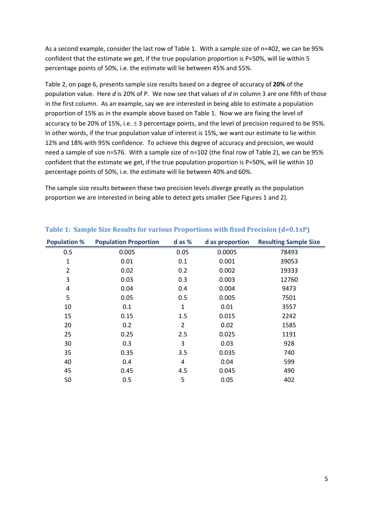As a second example, consider the last row of Table 1. With a sample size of n=402, we can be 95% confident that the estimate we get, if the true population proportion is P=50%, will lie within 5 percentage points of 50%, i.e. the estimate will lie between 45% and 55%.

Table 2, on page 6, presents sample size results based on a degree of accuracy of **20%** of the population value. Here *d* is 20% of P. We now see that values of *d* in column 3 are one fifth of those in the first column. As an example, say we are interested in being able to estimate a population proportion of 15% as in the example above based on Table 1. Now we are fixing the level of accuracy to be 20% of 15%, i.e. ± 3 percentage points, and the level of precision required to be 95%. In other words, if the true population value of interest is 15%, we want our estimate to lie within 12% and 18% with 95% confidence. To achieve this degree of accuracy and precision, we would need a sample of size n=576. With a sample size of n=102 (the final row of Table 2), we can be 95% confident that the estimate we get, if the true population proportion is P=50%, will lie within 10 percentage points of 50%, i.e. the estimate will lie between 40% and 60%.

The sample size results between these two precision levels diverge greatly as the population proportion we are interested in being able to detect gets smaller (See Figures 1 and 2).

| <b>Population %</b> | <b>Population Proportion</b> | d as % | d as proportion | <b>Resulting Sample Size</b> |
|---------------------|------------------------------|--------|-----------------|------------------------------|
| 0.5                 | 0.005                        | 0.05   | 0.0005          | 78493                        |
| 1                   | 0.01                         | 0.1    | 0.001           | 39053                        |
| 2                   | 0.02                         | 0.2    | 0.002           | 19333                        |
| 3                   | 0.03                         | 0.3    | 0.003           | 12760                        |
| 4                   | 0.04                         | 0.4    | 0.004           | 9473                         |
| 5                   | 0.05                         | 0.5    | 0.005           | 7501                         |
| 10                  | 0.1                          | 1      | 0.01            | 3557                         |
| 15                  | 0.15                         | 1.5    | 0.015           | 2242                         |
| 20                  | 0.2                          | 2      | 0.02            | 1585                         |
| 25                  | 0.25                         | 2.5    | 0.025           | 1191                         |
| 30                  | 0.3                          | 3      | 0.03            | 928                          |
| 35                  | 0.35                         | 3.5    | 0.035           | 740                          |
| 40                  | 0.4                          | 4      | 0.04            | 599                          |
| 45                  | 0.45                         | 4.5    | 0.045           | 490                          |
| 50                  | 0.5                          | 5      | 0.05            | 402                          |

## **Table 1: Sample Size Results for various Proportions with fixed Precision (d=0.1xP)**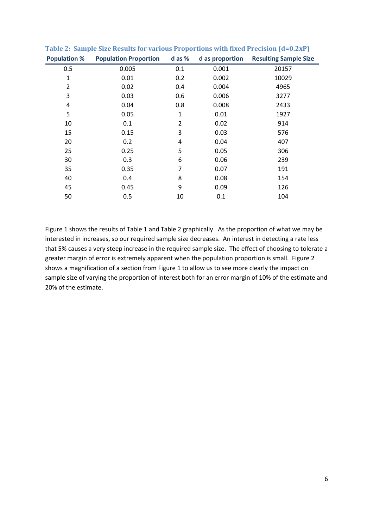| <b>Population %</b> | <b>Population Proportion</b> | d as %         | d as proportion | <b>Resulting Sample Size</b> |
|---------------------|------------------------------|----------------|-----------------|------------------------------|
| 0.5                 | 0.005                        | 0.1            | 0.001           | 20157                        |
| $\mathbf{1}$        | 0.01                         | 0.2            | 0.002           | 10029                        |
| $\overline{2}$      | 0.02                         | 0.4            | 0.004           | 4965                         |
| 3                   | 0.03                         | 0.6            | 0.006           | 3277                         |
| 4                   | 0.04                         | 0.8            | 0.008           | 2433                         |
| 5                   | 0.05                         | $\mathbf{1}$   | 0.01            | 1927                         |
| 10                  | 0.1                          | $\overline{2}$ | 0.02            | 914                          |
| 15                  | 0.15                         | 3              | 0.03            | 576                          |
| 20                  | 0.2                          | 4              | 0.04            | 407                          |
| 25                  | 0.25                         | 5              | 0.05            | 306                          |
| 30                  | 0.3                          | 6              | 0.06            | 239                          |
| 35                  | 0.35                         | $\overline{7}$ | 0.07            | 191                          |
| 40                  | 0.4                          | 8              | 0.08            | 154                          |
| 45                  | 0.45                         | 9              | 0.09            | 126                          |
| 50                  | 0.5                          | 10             | 0.1             | 104                          |
|                     |                              |                |                 |                              |

**Table 2: Sample Size Results for various Proportions with fixed Precision (d=0.2xP)**

Figure 1 shows the results of Table 1 and Table 2 graphically. As the proportion of what we may be interested in increases, so our required sample size decreases. An interest in detecting a rate less that 5% causes a very steep increase in the required sample size. The effect of choosing to tolerate a greater margin of error is extremely apparent when the population proportion is small. Figure 2 shows a magnification of a section from Figure 1 to allow us to see more clearly the impact on sample size of varying the proportion of interest both for an error margin of 10% of the estimate and

20% of the estimate.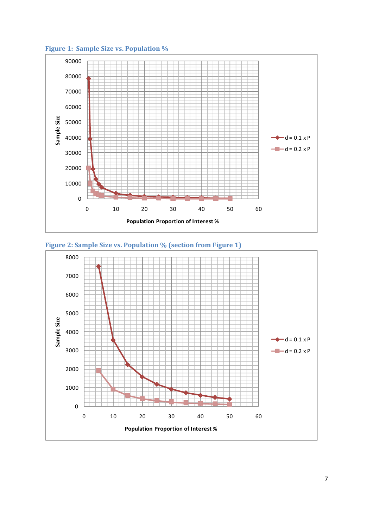

**Figure 1: Sample Size vs. Population %**



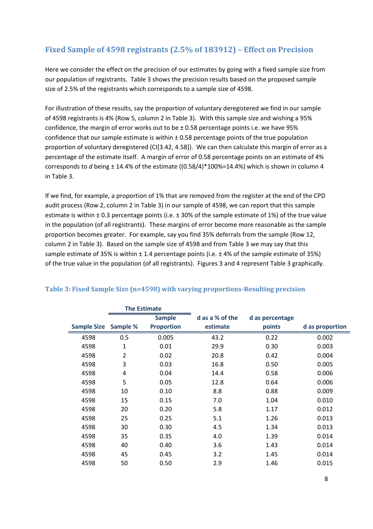# **Fixed Sample of 4598 registrants (2.5% of 183912) – Effect on Precision**

Here we consider the effect on the precision of our estimates by going with a fixed sample size from our population of registrants. Table 3 shows the precision results based on the proposed sample size of 2.5% of the registrants which corresponds to a sample size of 4598.

For illustration of these results, say the proportion of voluntary deregistered we find in our sample of 4598 registrants is 4% (Row 5, column 2 in Table 3). With this sample size and wishing a 95% confidence, the margin of error works out to be ± 0.58 percentage points i.e. we have 95% confidence that our sample estimate is within  $\pm$  0.58 percentage points of the true population proportion of voluntary deregistered (CI[3.42, 4.58]). We can then calculate this margin of error as a percentage of the estimate itself. A margin of error of 0.58 percentage points on an estimate of 4% corresponds to *d* being ± 14.4% of the estimate ((0.58/4)\*100%=14.4%) which is shown in column 4 in Table 3.

If we find, for example, a proportion of 1% that are removed from the register at the end of the CPD audit process (Row 2, column 2 in Table 3) in our sample of 4598, we can report that this sample estimate is within  $\pm$  0.3 percentage points (i.e.  $\pm$  30% of the sample estimate of 1%) of the true value in the population (of all registrants). These margins of error become more reasonable as the sample proportion becomes greater. For example, say you find 35% deferrals from the sample (Row 12, column 2 in Table 3). Based on the sample size of 4598 and from Table 3 we may say that this sample estimate of 35% is within  $\pm$  1.4 percentage points (i.e.  $\pm$  4% of the sample estimate of 35%) of the true value in the population (of all registrants). Figures 3 and 4 represent Table 3 graphically.

|                    | <b>The Estimate</b> |                   |                 |                 |                 |
|--------------------|---------------------|-------------------|-----------------|-----------------|-----------------|
|                    |                     | <b>Sample</b>     | d as a % of the | d as percentage |                 |
| <b>Sample Size</b> | Sample %            | <b>Proportion</b> | estimate        | points          | d as proportion |
| 4598               | 0.5                 | 0.005             | 43.2            | 0.22            | 0.002           |
| 4598               | $\mathbf{1}$        | 0.01              | 29.9            | 0.30            | 0.003           |
| 4598               | $\overline{2}$      | 0.02              | 20.8            | 0.42            | 0.004           |
| 4598               | 3                   | 0.03              | 16.8            | 0.50            | 0.005           |
| 4598               | 4                   | 0.04              | 14.4            | 0.58            | 0.006           |
| 4598               | 5                   | 0.05              | 12.8            | 0.64            | 0.006           |
| 4598               | 10                  | 0.10              | 8.8             | 0.88            | 0.009           |
| 4598               | 15                  | 0.15              | 7.0             | 1.04            | 0.010           |
| 4598               | 20                  | 0.20              | 5.8             | 1.17            | 0.012           |
| 4598               | 25                  | 0.25              | 5.1             | 1.26            | 0.013           |
| 4598               | 30                  | 0.30              | 4.5             | 1.34            | 0.013           |
| 4598               | 35                  | 0.35              | 4.0             | 1.39            | 0.014           |
| 4598               | 40                  | 0.40              | 3.6             | 1.43            | 0.014           |
| 4598               | 45                  | 0.45              | 3.2             | 1.45            | 0.014           |
| 4598               | 50                  | 0.50              | 2.9             | 1.46            | 0.015           |

### **Table 3: Fixed Sample Size (n=4598) with varying proportionsResulting precision**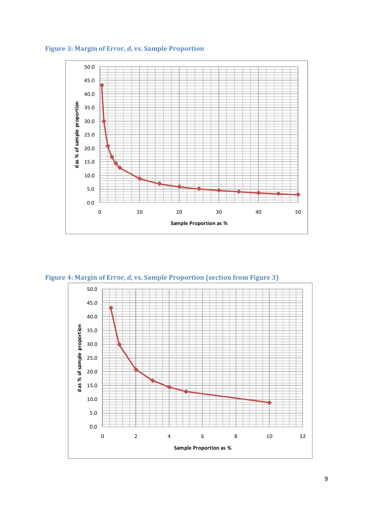

**Figure 3: Margin of Error,** *d***, vs. Sample Proportion**

**Figure 4: Margin of Error,** *d***, vs. Sample Proportion (section from Figure 3)**



**Sample Proportion as %**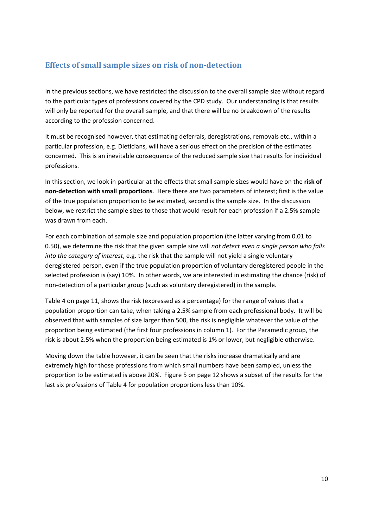## **Effects of small sample sizes on risk of nondetection**

In the previous sections, we have restricted the discussion to the overall sample size without regard to the particular types of professions covered by the CPD study. Our understanding is that results will only be reported for the overall sample, and that there will be no breakdown of the results according to the profession concerned.

It must be recognised however, that estimating deferrals, deregistrations, removals etc., within a particular profession, e.g. Dieticians, will have a serious effect on the precision of the estimates concerned. This is an inevitable consequence of the reduced sample size that results for individual professions.

In this section, we look in particular at the effects that small sample sizes would have on the **risk of non‐detection with small proportions**. Here there are two parameters of interest; first is the value of the true population proportion to be estimated, second is the sample size. In the discussion below, we restrict the sample sizes to those that would result for each profession if a 2.5% sample was drawn from each.

For each combination of sample size and population proportion (the latter varying from 0.01 to 0.50), we determine the risk that the given sample size will *not detect even a single person who falls into the category of interest*, e.g. the risk that the sample will not yield a single voluntary deregistered person, even if the true population proportion of voluntary deregistered people in the selected profession is (say) 10%. In other words, we are interested in estimating the chance (risk) of non‐detection of a particular group (such as voluntary deregistered) in the sample.

Table 4 on page 11, shows the risk (expressed as a percentage) for the range of values that a population proportion can take, when taking a 2.5% sample from each professional body. It will be observed that with samples of size larger than 500, the risk is negligible whatever the value of the proportion being estimated (the first four professions in column 1). For the Paramedic group, the risk is about 2.5% when the proportion being estimated is 1% or lower, but negligible otherwise.

Moving down the table however, it can be seen that the risks increase dramatically and are extremely high for those professions from which small numbers have been sampled, unless the proportion to be estimated is above 20%. Figure 5 on page 12 shows a subset of the results for the last six professions of Table 4 for population proportions less than 10%.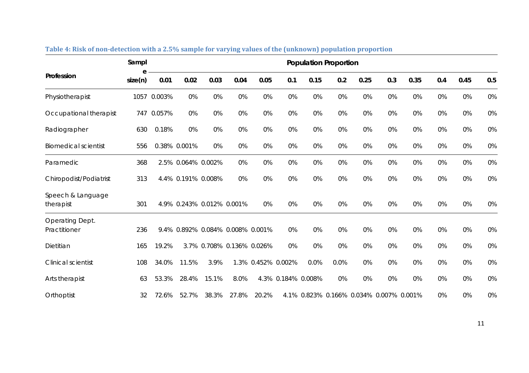|                                 | Sampl   | <b>Population Proportion</b> |                                  |                           |       |                    |     |                    |      |                                         |     |      |     |      |       |
|---------------------------------|---------|------------------------------|----------------------------------|---------------------------|-------|--------------------|-----|--------------------|------|-----------------------------------------|-----|------|-----|------|-------|
| Profession                      | size(n) | 0.01                         | 0.02                             | 0.03                      | 0.04  | 0.05               | 0.1 | 0.15               | 0.2  | 0.25                                    | 0.3 | 0.35 | 0.4 | 0.45 | 0.5   |
| Physiotherapist                 |         | 1057 0.003%                  | 0%                               | 0%                        | 0%    | 0%                 | 0%  | 0%                 | 0%   | 0%                                      | 0%  | 0%   | 0%  | 0%   | 0%    |
| Occupational therapist          |         | 747 0.057%                   | 0%                               | 0%                        | 0%    | 0%                 | 0%  | 0%                 | 0%   | 0%                                      | 0%  | 0%   | 0%  | 0%   | 0%    |
| Radiographer                    | 630     | 0.18%                        | 0%                               | 0%                        | 0%    | 0%                 | 0%  | 0%                 | 0%   | 0%                                      | 0%  | 0%   | 0%  | 0%   | $0\%$ |
| <b>Biomedical scientist</b>     | 556     |                              | 0.38% 0.001%                     | 0%                        | 0%    | 0%                 | 0%  | 0%                 | 0%   | 0%                                      | 0%  | 0%   | 0%  | 0%   | 0%    |
| Paramedic                       | 368     |                              | 2.5% 0.064% 0.002%               |                           | 0%    | 0%                 | 0%  | 0%                 | 0%   | 0%                                      | 0%  | 0%   | 0%  | 0%   | 0%    |
| Chiropodist/Podiatrist          | 313     |                              | 4.4% 0.191% 0.008%               |                           | 0%    | 0%                 | 0%  | 0%                 | 0%   | 0%                                      | 0%  | 0%   | 0%  | 0%   | $0\%$ |
| Speech & Language<br>therapist  | 301     |                              | 4.9% 0.243% 0.012% 0.001%        |                           |       | 0%                 | 0%  | 0%                 | 0%   | 0%                                      | 0%  | 0%   | 0%  | 0%   | 0%    |
| Operating Dept.<br>Practitioner | 236     |                              | 9.4% 0.892% 0.084% 0.008% 0.001% |                           |       |                    | 0%  | 0%                 | 0%   | 0%                                      | 0%  | 0%   | 0%  | 0%   | 0%    |
| Dietitian                       | 165     | 19.2%                        |                                  | 3.7% 0.708% 0.136% 0.026% |       |                    | 0%  | 0%                 | 0%   | 0%                                      | 0%  | 0%   | 0%  | 0%   | 0%    |
| <b>Clinical scientist</b>       | 108     | 34.0%                        | 11.5%                            | 3.9%                      |       | 1.3% 0.452% 0.002% |     | 0.0%               | 0.0% | 0%                                      | 0%  | 0%   | 0%  | 0%   | $0\%$ |
| Arts therapist                  | 63      | 53.3%                        | 28.4%                            | 15.1%                     | 8.0%  |                    |     | 4.3% 0.184% 0.008% | 0%   | 0%                                      | 0%  | 0%   | 0%  | 0%   | $0\%$ |
| Orthoptist                      | 32      | 72.6%                        | 52.7%                            | 38.3%                     | 27.8% | 20.2%              |     |                    |      | 4.1% 0.823% 0.166% 0.034% 0.007% 0.001% |     |      | 0%  | 0%   | 0%    |

| Table 4: Risk of non-detection with a 2.5% sample for varying values of the (unknown) population proportion |  |
|-------------------------------------------------------------------------------------------------------------|--|
|                                                                                                             |  |

11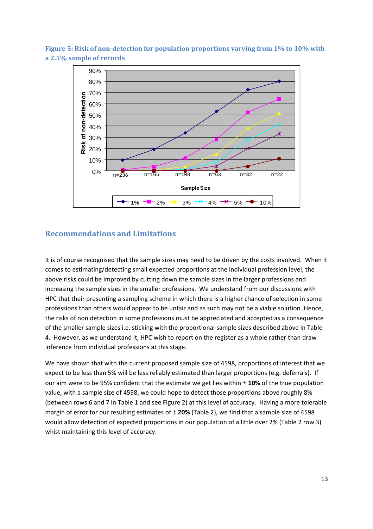

**Figure 5: Risk of nondetection for population proportions varying from 1% to 10% with a 2.5% sample of records**

## **Recommendations and Limitations**

It is of course recognised that the sample sizes may need to be driven by the costs involved. When it comes to estimating/detecting small expected proportions at the individual profession level, the above risks could be improved by cutting down the sample sizes in the larger professions and increasing the sample sizes in the smaller professions. We understand from our discussions with HPC that their presenting a sampling scheme in which there is a higher chance of selection in some professions than others would appear to be unfair and as such may not be a viable solution. Hence, the risks of non detection in some professions must be appreciated and accepted as a consequence of the smaller sample sizes i.e. sticking with the proportional sample sizes described above in Table 4. However, as we understand it, HPC wish to report on the register as a whole rather than draw inference from individual professions at this stage.

We have shown that with the current proposed sample size of 4598, proportions of interest that we expect to be less than 5% will be less reliably estimated than larger proportions (e.g. deferrals). If our aim were to be 95% confident that the estimate we get lies within ± **10%** of the true population value, with a sample size of 4598, we could hope to detect those proportions above roughly 8% (between rows 6 and 7 in Table 1 and see Figure 2) at this level of accuracy. Having a more tolerable margin of error for our resulting estimates of ± **20%** (Table 2), we find that a sample size of 4598 would allow detection of expected proportions in our population of a little over 2% (Table 2 row 3) whist maintaining this level of accuracy.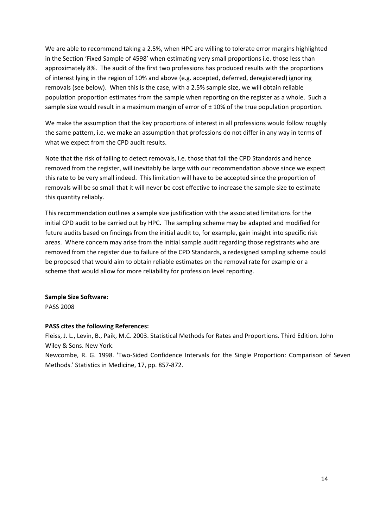We are able to recommend taking a 2.5%, when HPC are willing to tolerate error margins highlighted in the Section 'Fixed Sample of 4598' when estimating very small proportions i.e. those less than approximately 8%. The audit of the first two professions has produced results with the proportions of interest lying in the region of 10% and above (e.g. accepted, deferred, deregistered) ignoring removals (see below). When this is the case, with a 2.5% sample size, we will obtain reliable population proportion estimates from the sample when reporting on the register as a whole. Such a sample size would result in a maximum margin of error of  $\pm$  10% of the true population proportion.

We make the assumption that the key proportions of interest in all professions would follow roughly the same pattern, i.e. we make an assumption that professions do not differ in any way in terms of what we expect from the CPD audit results.

Note that the risk of failing to detect removals, i.e. those that fail the CPD Standards and hence removed from the register, will inevitably be large with our recommendation above since we expect this rate to be very small indeed. This limitation will have to be accepted since the proportion of removals will be so small that it will never be cost effective to increase the sample size to estimate this quantity reliably.

This recommendation outlines a sample size justification with the associated limitations for the initial CPD audit to be carried out by HPC. The sampling scheme may be adapted and modified for future audits based on findings from the initial audit to, for example, gain insight into specific risk areas. Where concern may arise from the initial sample audit regarding those registrants who are removed from the register due to failure of the CPD Standards, a redesigned sampling scheme could be proposed that would aim to obtain reliable estimates on the removal rate for example or a scheme that would allow for more reliability for profession level reporting.

**Sample Size Software:**  PASS 2008

#### **PASS cites the following References:**

Fleiss, J. L., Levin, B., Paik, M.C. 2003. Statistical Methods for Rates and Proportions. Third Edition. John Wiley & Sons. New York.

Newcombe, R. G. 1998. 'Two‐Sided Confidence Intervals for the Single Proportion: Comparison of Seven Methods.' Statistics in Medicine, 17, pp. 857‐872.